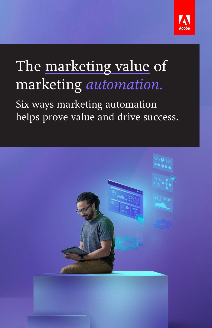

# The marketing value of marketing *automation.*

Six ways marketing automation helps prove value and drive success.

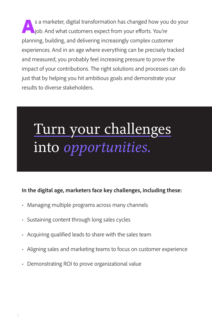s a marketer, digital transformation has changed how you do your iob. And what customers expect from your efforts. You're planning, building, and delivering increasingly complex customer experiences. And in an age where everything can be precisely tracked and measured, you probably feel increasing pressure to prove the impact of your contributions. The right solutions and processes can do just that by helping you hit ambitious goals and demonstrate your results to diverse stakeholders.

# Turn your challenges into *opportunities.*

### **In the digital age, marketers face key challenges, including these:**

- Managing multiple programs across many channels
- Sustaining content through long sales cycles
- Acquiring qualified leads to share with the sales team
- Aligning sales and marketing teams to focus on customer experience
- Demonstrating ROI to prove organizational value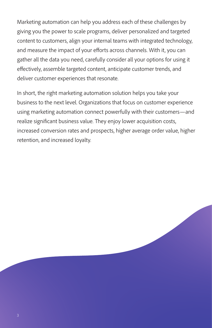Marketing automation can help you address each of these challenges by giving you the power to scale programs, deliver personalized and targeted content to customers, align your internal teams with integrated technology, and measure the impact of your efforts across channels. With it, you can gather all the data you need, carefully consider all your options for using it effectively, assemble targeted content, anticipate customer trends, and deliver customer experiences that resonate.

In short, the right marketing automation solution helps you take your business to the next level. Organizations that focus on customer experience using marketing automation connect powerfully with their customers—and realize significant business value. They enjoy lower acquisition costs, increased conversion rates and prospects, higher average order value, higher retention, and increased loyalty.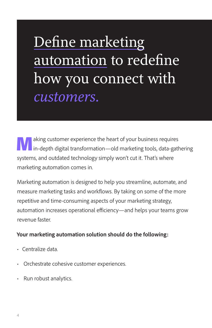# Define marketing automation to redefine how you connect with *customers.*

**Making customer experience the heart of your business requires**<br> **in-depth digital transformation—old marketing tools, data-gathering** systems, and outdated technology simply won't cut it. That's where marketing automation comes in.

Marketing automation is designed to help you streamline, automate, and measure marketing tasks and workflows. By taking on some of the more repetitive and time-consuming aspects of your marketing strategy, automation increases operational efficiency—and helps your teams grow revenue faster.

### **Your marketing automation solution should do the following:**

- Centralize data.
- Orchestrate cohesive customer experiences.
- Run robust analytics.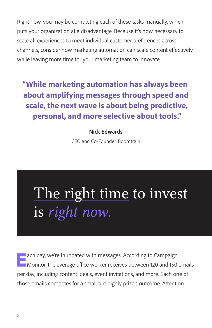Right now, you may be completing each of these tasks manually, which puts your organization at a disadvantage. Because it's now necessary to scale all experiences to meet individual customer preferences across channels, consider how marketing automation can scale content effectively, while leaving more time for your marketing team to innovate.

## **"While marketing automation has always been about amplifying messages through speed and scale, the next wave is about being predictive, personal, and more selective about tools."**

### **Nick Edwards**

CEO and Co-Founder, Boomtrain

# The right time to invest is *right now.*

**Each day, we're inundated with messages. According to Campaign** Monitor, the average office worker receives between 120 and 150 emails per day, including content, deals, event invitations, and more. Each one of those emails competes for a small but highly prized outcome. Attention.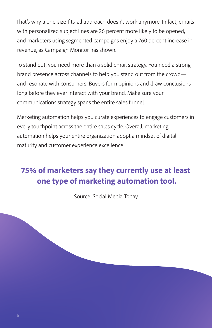That's why a one-size-fits-all approach doesn't work anymore. In fact, emails with personalized subject lines are 26 percent more likely to be opened, and marketers using segmented campaigns enjoy a 760 percent increase in revenue, as Campaign Monitor has shown.

To stand out, you need more than a solid email strategy. You need a strong brand presence across channels to help you stand out from the crowd and resonate with consumers. Buyers form opinions and draw conclusions long before they ever interact with your brand. Make sure your communications strategy spans the entire sales funnel.

Marketing automation helps you curate experiences to engage customers in every touchpoint across the entire sales cycle. Overall, marketing automation helps your entire organization adopt a mindset of digital maturity and customer experience excellence.

### **75% of marketers say they currently use at least one type of marketing automation tool.**

Source: Social Media Today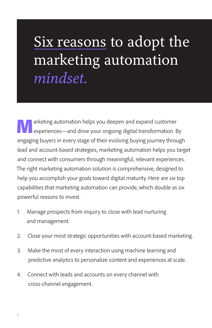# Six reasons to adopt the marketing automation *mindset.*

**Alle a**rketing automation helps you deepen and expand customer<br>experiences—and drive your ongoing digital transformation. By engaging buyers in every stage of their evolving buying journey through lead and account-based strategies, marketing automation helps you target and connect with consumers through meaningful, relevant experiences. The right marketing automation solution is comprehensive, designed to help you accomplish your goals toward digital maturity. Here are six top capabilities that marketing automation can provide, which double as six powerful reasons to invest.

- 1. Manage prospects from inquiry to close with lead nurturing and management.
- 2. Close your most strategic opportunities with account-based marketing.
- 3. Make the most of every interaction using machine learning and predictive analytics to personalize content and experiences at scale.
- 4. Connect with leads and accounts on every channel with cross-channel engagement.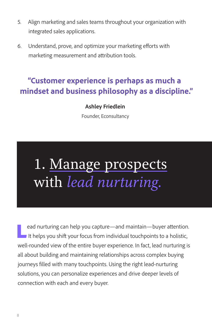- 5. Align marketing and sales teams throughout your organization with integrated sales applications.
- 6. Understand, prove, and optimize your marketing efforts with marketing measurement and attribution tools.

### **"Customer experience is perhaps as much a mindset and business philosophy as a discipline."**

### **Ashley Friedlein**

Founder, Econsultancy

# 1. Manage prospects with *lead nurturing.*

ead nurturing can help you capture—and maintain—buyer attention.<br>It helps you shift your focus from individual touchpoints to a holistic, well-rounded view of the entire buyer experience. In fact, lead nurturing is all about building and maintaining relationships across complex buying journeys filled with many touchpoints. Using the right lead-nurturing solutions, you can personalize experiences and drive deeper levels of connection with each and every buyer.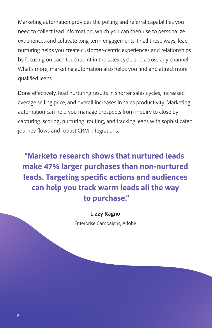Marketing automation provides the polling and referral capabilities you need to collect lead information, which you can then use to personalize experiences and cultivate long-term engagements. In all these ways, lead nurturing helps you create customer-centric experiences and relationships by focusing on each touchpoint in the sales cycle and across any channel. What's more, marketing automation also helps you find and attract more qualified leads.

Done effectively, lead nurturing results in shorter sales cycles, increased average selling price, and overall increases in sales productivity. Marketing automation can help you manage prospects from inquiry to close by capturing, scoring, nurturing, routing, and tracking leads with sophisticated journey flows and robust CRM integrations.

**"Marketo research shows that nurtured leads make 47% larger purchases than non-nurtured leads. Targeting specific actions and audiences can help you track warm leads all the way to purchase."**

### **Lizzy Ragno**

Enterprise Campaigns, Adobe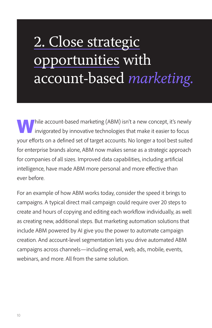# 2. Close strategic opportunities with account-based *marketing.*

**White** hile account-based marketing (ABM) isn't a new concept, it's newly invigorated by innovative technologies that make it easier to focus your efforts on a defined set of target accounts. No longer a tool best suited for enterprise brands alone, ABM now makes sense as a strategic approach for companies of all sizes. Improved data capabilities, including artificial intelligence, have made ABM more personal and more effective than ever before.

For an example of how ABM works today, consider the speed it brings to campaigns. A typical direct mail campaign could require over 20 steps to create and hours of copying and editing each workflow individually, as well as creating new, additional steps. But marketing automation solutions that include ABM powered by AI give you the power to automate campaign creation. And account-level segmentation lets you drive automated ABM campaigns across channels—including email, web, ads, mobile, events, webinars, and more. All from the same solution.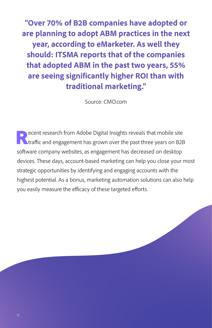**"Over 70% of B2B companies have adopted or are planning to adopt ABM practices in the next year, according to eMarketer. As well they should: ITSMA reports that of the companies that adopted ABM in the past two years, 55% are seeing significantly higher ROI than with traditional marketing."**

Source: CMO.com

ecent research from Adobe Digital Insights reveals that mobile site<br>traffic and engagement has grown over the past three years on B2B software company websites, as engagement has decreased on desktop devices. These days, account-based marketing can help you close your most strategic opportunities by identifying and engaging accounts with the highest potential. As a bonus, marketing automation solutions can also help you easily measure the efficacy of these targeted efforts.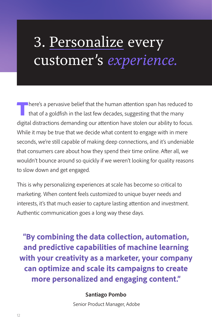## 3. Personalize every customer's *experience.*

There's a pervasive belief that the human attention span has reduced to<br>that of a goldfish in the last few decades, suggesting that the many digital distractions demanding our attention have stolen our ability to focus. While it may be true that we decide what content to engage with in mere seconds, we're still capable of making deep connections, and it's undeniable that consumers care about how they spend their time online. After all, we wouldn't bounce around so quickly if we weren't looking for quality reasons to slow down and get engaged.

This is why personalizing experiences at scale has become so critical to marketing. When content feels customized to unique buyer needs and interests, it's that much easier to capture lasting attention and investment. Authentic communication goes a long way these days.

**"By combining the data collection, automation, and predictive capabilities of machine learning with your creativity as a marketer, your company can optimize and scale its campaigns to create more personalized and engaging content."**

#### **Santiago Pombo**

Senior Product Manager, Adobe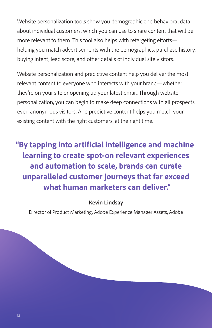Website personalization tools show you demographic and behavioral data about individual customers, which you can use to share content that will be more relevant to them. This tool also helps with retargeting efforts helping you match advertisements with the demographics, purchase history, buying intent, lead score, and other details of individual site visitors.

Website personalization and predictive content help you deliver the most relevant content to everyone who interacts with your brand—whether they're on your site or opening up your latest email. Through website personalization, you can begin to make deep connections with all prospects, even anonymous visitors. And predictive content helps you match your existing content with the right customers, at the right time.

**"By tapping into artificial intelligence and machine learning to create spot-on relevant experiences and automation to scale, brands can curate unparalleled customer journeys that far exceed what human marketers can deliver."**

### **Kevin Lindsay**

Director of Product Marketing, Adobe Experience Manager Assets, Adobe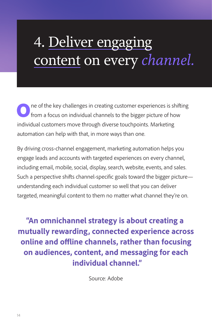# 4. Deliver engaging content on every *channel.*

One of the key challenges in creating customer experiences is shifting from a focus on individual channels to the bigger picture of how individual customers move through diverse touchpoints. Marketing automation can help with that, in more ways than one.

By driving cross-channel engagement, marketing automation helps you engage leads and accounts with targeted experiences on every channel, including email, mobile, social, display, search, website, events, and sales. Such a perspective shifts channel-specific goals toward the bigger picture understanding each individual customer so well that you can deliver targeted, meaningful content to them no matter what channel they're on.

**"An omnichannel strategy is about creating a mutually rewarding, connected experience across online and offline channels, rather than focusing on audiences, content, and messaging for each individual channel."**

Source: Adobe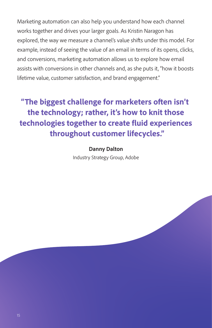Marketing automation can also help you understand how each channel works together and drives your larger goals. As Kristin Naragon has explored, the way we measure a channel's value shifts under this model. For example, instead of seeing the value of an email in terms of its opens, clicks, and conversions, marketing automation allows us to explore how email assists with conversions in other channels and, as she puts it, "how it boosts lifetime value, customer satisfaction, and brand engagement."

**"The biggest challenge for marketers often isn't the technology; rather, it's how to knit those technologies together to create fluid experiences throughout customer lifecycles."**

> **Danny Dalton** Industry Strategy Group, Adobe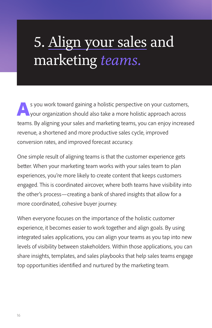# 5. Align your sales and marketing *teams.*

s you work toward gaining a holistic perspective on your customers, your organization should also take a more holistic approach across teams. By aligning your sales and marketing teams, you can enjoy increased revenue, a shortened and more productive sales cycle, improved conversion rates, and improved forecast accuracy.

One simple result of aligning teams is that the customer experience gets better. When your marketing team works with your sales team to plan experiences, you're more likely to create content that keeps customers engaged. This is coordinated aircover, where both teams have visibility into the other's process—creating a bank of shared insights that allow for a more coordinated, cohesive buyer journey.

When everyone focuses on the importance of the holistic customer experience, it becomes easier to work together and align goals. By using integrated sales applications, you can align your teams as you tap into new levels of visibility between stakeholders. Within those applications, you can share insights, templates, and sales playbooks that help sales teams engage top opportunities identified and nurtured by the marketing team.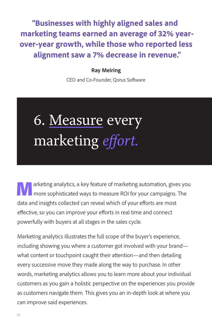**"Businesses with highly aligned sales and marketing teams earned an average of 32% yearover-year growth, while those who reported less alignment saw a 7% decrease in revenue."**

### **Ray Meiring**

CEO and Co-Founder, Qorus Software

# 6. Measure every marketing *effort.*

**Marketing analytics, a key feature of marketing automation, gives you more sophisticated ways to measure ROI for your campaigns. The** data and insights collected can reveal which of your efforts are most effective, so you can improve your efforts in real time and connect powerfully with buyers at all stages in the sales cycle.

Marketing analytics illustrates the full scope of the buyer's experience, including showing you where a customer got involved with your brand what content or touchpoint caught their attention—and then detailing every successive move they made along the way to purchase. In other words, marketing analytics allows you to learn more about your individual customers as you gain a holistic perspective on the experiences you provide as customers navigate them. This gives you an in-depth look at where you can improve said experiences.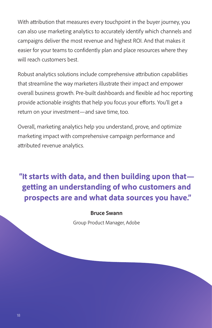With attribution that measures every touchpoint in the buyer journey, you can also use marketing analytics to accurately identify which channels and campaigns deliver the most revenue and highest ROI. And that makes it easier for your teams to confidently plan and place resources where they will reach customers best.

Robust analytics solutions include comprehensive attribution capabilities that streamline the way marketers illustrate their impact and empower overall business growth. Pre-built dashboards and flexible ad hoc reporting provide actionable insights that help you focus your efforts. You'll get a return on your investment—and save time, too.

Overall, marketing analytics help you understand, prove, and optimize marketing impact with comprehensive campaign performance and attributed revenue analytics.

## **"It starts with data, and then building upon that getting an understanding of who customers and prospects are and what data sources you have."**

#### **Bruce Swann**

Group Product Manager, Adobe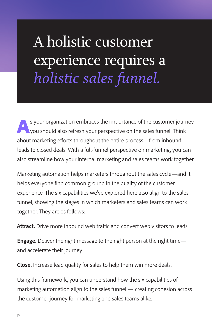A holistic customer experience requires a *holistic sales funnel.*

s your organization embraces the importance of the customer journey, you should also refresh your perspective on the sales funnel. Think about marketing efforts throughout the entire process—from inbound leads to closed deals. With a full-funnel perspective on marketing, you can also streamline how your internal marketing and sales teams work together.

Marketing automation helps marketers throughout the sales cycle—and it helps everyone find common ground in the quality of the customer experience. The six capabilities we've explored here also align to the sales funnel, showing the stages in which marketers and sales teams can work together. They are as follows:

**Attract.** Drive more inbound web traffic and convert web visitors to leads.

**Engage.** Deliver the right message to the right person at the right time and accelerate their journey.

**Close.** Increase lead quality for sales to help them win more deals.

Using this framework, you can understand how the six capabilities of marketing automation align to the sales funnel — creating cohesion across the customer journey for marketing and sales teams alike.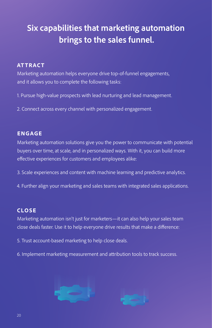## **Six capabilities that marketing automation brings to the sales funnel.**

### **AT TRACT**

Marketing automation helps everyone drive top-of-funnel engagements, and it allows you to complete the following tasks:

- 1. Pursue high-value prospects with lead nurturing and lead management.
- 2. Connect across every channel with personalized engagement.

### **ENGAGE**

Marketing automation solutions give you the power to communicate with potential buyers over time, at scale, and in personalized ways. With it, you can build more effective experiences for customers and employees alike:

- 3. Scale experiences and content with machine learning and predictive analytics.
- 4. Further align your marketing and sales teams with integrated sales applications.

### **CLOSE**

Marketing automation isn't just for marketers—it can also help your sales team close deals faster. Use it to help everyone drive results that make a difference:

- 5. Trust account-based marketing to help close deals.
- 6. Implement marketing measurement and attribution tools to track success.



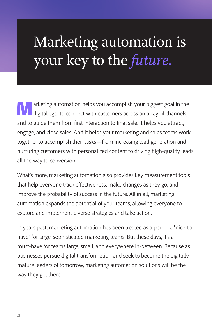# Marketing automation is your key to the *future.*

**Marketing automation helps you accomplish your biggest goal in the digital age: to connect with customers across an array of channels,** and to guide them from first interaction to final sale. It helps you attract, engage, and close sales. And it helps your marketing and sales teams work together to accomplish their tasks—from increasing lead generation and nurturing customers with personalized content to driving high-quality leads all the way to conversion.

What's more, marketing automation also provides key measurement tools that help everyone track effectiveness, make changes as they go, and improve the probability of success in the future. All in all, marketing automation expands the potential of your teams, allowing everyone to explore and implement diverse strategies and take action.

In years past, marketing automation has been treated as a perk—a "nice-tohave" for large, sophisticated marketing teams. But these days, it's a must-have for teams large, small, and everywhere in-between. Because as businesses pursue digital transformation and seek to become the digitally mature leaders of tomorrow, marketing automation solutions will be the way they get there.